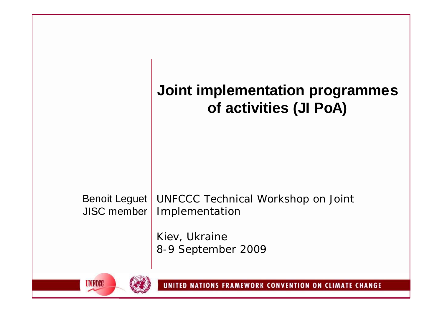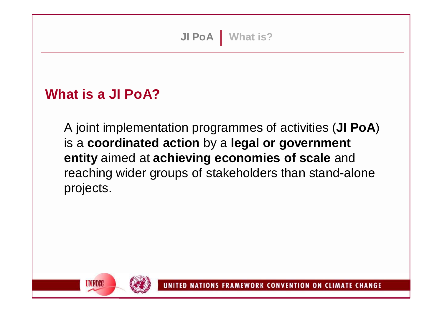#### **What is a JI PoA?**

A joint implementation programmes of activities (**JI PoA**) is a **coordinated action** by a **legal or government entity** aimed at **achieving economies of scale** and reaching wider groups of stakeholders than stand-alone projects.

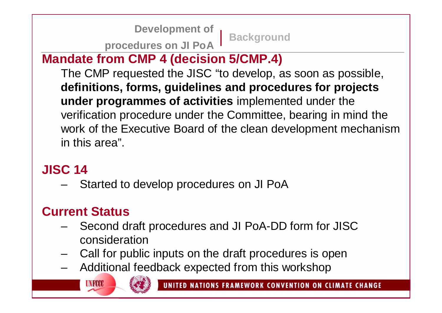**Background Development of procedures on JI PoA**

### **Mandate from CMP 4 (decision 5/CMP.4)**

The CMP requested the JISC "to develop, as soon as possible, **definitions, forms, guidelines and procedures for projects under programmes of activities** implemented under the verification procedure under the Committee, bearing in mind the work of the Executive Board of the clean development mechanism in this area".

#### **JISC 14**

– Started to develop procedures on JI PoA

## **Current Status**

- Second draft procedures and JI PoA-DD form for JISC consideration
- Call for public inputs on the draft procedures is open
- Additional feedback expected from this workshop

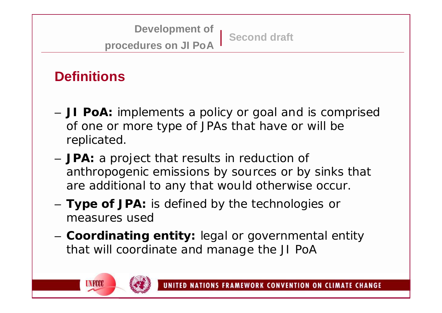**Second draft Development of procedures on JI PoA**

# **Definitions**

- **JI PoA:** implements a policy or goal and is comprised of one or more type of JPAs that have or will be replicated.
- **JPA:** a project that results in reduction of anthropogenic emissions by sources or by sinks that are additional to any that would otherwise occur.
- **Type of JPA:** is defined by the technologies or measures used
- **Coordinating entity:** legal or governmental entity that will coordinate and manage the JI PoA

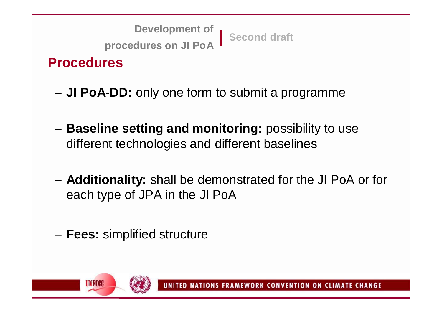**Second draft Development of procedures on JI PoA**

**Procedures**

- **JI PoA-DD:** only one form to submit a programme
- **Baseline setting and monitoring:** possibility to use different technologies and different baselines
- **Additionality:** shall be demonstrated for the JI PoA or for each type of JPA in the JI PoA
- **Fees:** simplified structure

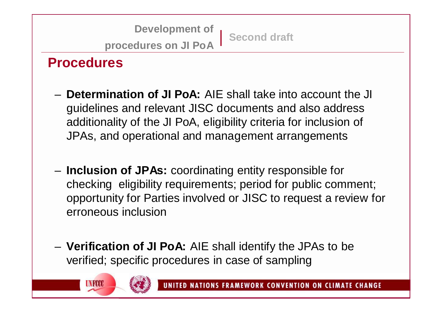**Second draft Development of procedures on JI PoA**

### **Procedures**

- **Determination of JI PoA:** AIE shall take into account the JI guidelines and relevant JISC documents and also address additionality of the JI PoA, eligibility criteria for inclusion of JPAs, and operational and management arrangements
- **Inclusion of JPAs:** coordinating entity responsible for checking eligibility requirements; period for public comment; opportunity for Parties involved or JISC to request a review for erroneous inclusion
- **Verification of JI PoA:** AIE shall identify the JPAs to be verified; specific procedures in case of sampling